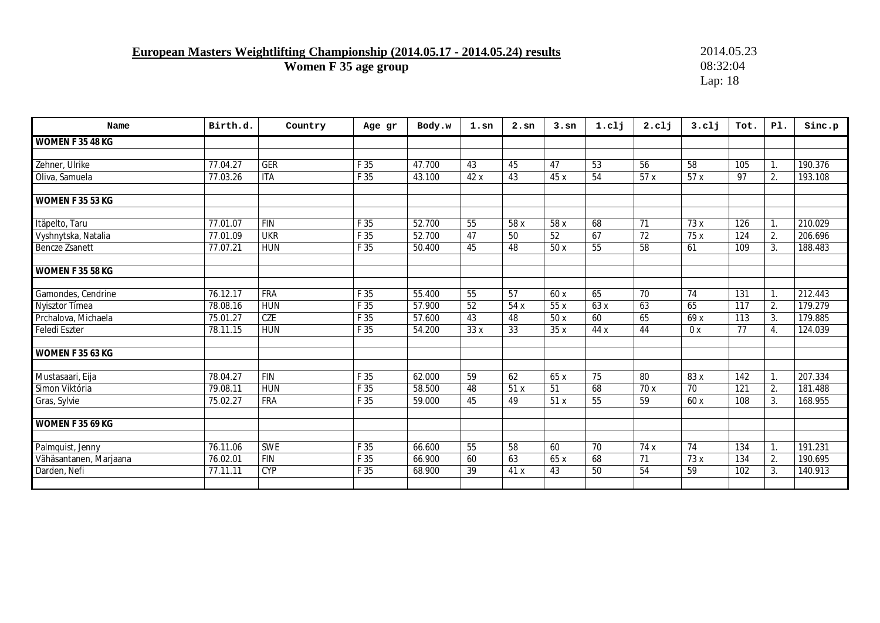### **European Masters Weightlifting Championship (2014.05.17 - 2014.05.24) results** 2014.05.23

**Women F 35 age group** 08:32:04

Lap: 18

| Name                   | Birth.d. | Country    | Age gr | Body.w | $1.\,\mathrm{sn}$ | $2.\text{sn}$ | 3.5 <sub>n</sub> | 1.c1j | 2. <sub>c1j</sub> | 3. c11 | Tot.            | PI.            | Sinc.p  |
|------------------------|----------|------------|--------|--------|-------------------|---------------|------------------|-------|-------------------|--------|-----------------|----------------|---------|
| WOMEN F 35 48 KG       |          |            |        |        |                   |               |                  |       |                   |        |                 |                |         |
|                        |          |            |        |        |                   |               |                  |       |                   |        |                 |                |         |
| Zehner, Ulrike         | 77.04.27 | <b>GER</b> | F 35   | 47.700 | 43                | 45            | 47               | 53    | 56                | 58     | 105             | $\mathbf{1}$ . | 190.376 |
| Oliva, Samuela         | 77.03.26 | <b>ITA</b> | F 35   | 43.100 | 42x               | 43            | 45x              | 54    | 57x               | 57x    | 97              | 2.             | 193.108 |
|                        |          |            |        |        |                   |               |                  |       |                   |        |                 |                |         |
| WOMEN F 35 53 KG       |          |            |        |        |                   |               |                  |       |                   |        |                 |                |         |
|                        |          |            |        |        |                   |               |                  |       |                   |        |                 |                |         |
| Itäpelto, Taru         | 77.01.07 | <b>FIN</b> | F 35   | 52.700 | 55                | 58 x          | 58 x             | 68    | 71                | 73 x   | 126             | 1.             | 210.029 |
| Vyshnytska, Natalia    | 77.01.09 | <b>UKR</b> | F 35   | 52.700 | 47                | 50            | 52               | 67    | 72                | 75 x   | 124             | 2.             | 206.696 |
| Bencze Zsanett         | 77.07.21 | <b>HUN</b> | F 35   | 50.400 | 45                | 48            | 50x              | 55    | 58                | 61     | 109             | 3.             | 188.483 |
|                        |          |            |        |        |                   |               |                  |       |                   |        |                 |                |         |
| WOMEN F 35 58 KG       |          |            |        |        |                   |               |                  |       |                   |        |                 |                |         |
|                        |          |            |        |        |                   |               |                  |       |                   |        |                 |                |         |
| Gamondes, Cendrine     | 76.12.17 | <b>FRA</b> | F 35   | 55.400 | 55                | 57            | 60 x             | 65    | 70                | 74     | 131             | 1.             | 212.443 |
| Nyisztor Tímea         | 78.08.16 | <b>HUN</b> | F 35   | 57.900 | 52                | 54x           | 55x              | 63x   | 63                | 65     | 117             | 2.             | 179.279 |
| Prchalova, Michaela    | 75.01.27 | CZE        | F 35   | 57.600 | 43                | 48            | 50 x             | 60    | 65                | 69 x   | 113             | 3.             | 179.885 |
| Feledi Eszter          | 78.11.15 | <b>HUN</b> | F 35   | 54.200 | 33x               | 33            | 35x              | 44 x  | 44                | 0x     | $\overline{77}$ | 4.             | 124.039 |
|                        |          |            |        |        |                   |               |                  |       |                   |        |                 |                |         |
| WOMEN F 35 63 KG       |          |            |        |        |                   |               |                  |       |                   |        |                 |                |         |
|                        |          |            |        |        |                   |               |                  |       |                   |        |                 |                |         |
| Mustasaari, Eija       | 78.04.27 | FIN        | F 35   | 62.000 | $\overline{59}$   | 62            | 65 x             | 75    | 80                | 83 x   | 142             | 1.             | 207.334 |
| Simon Viktória         | 79.08.11 | <b>HUN</b> | F 35   | 58.500 | 48                | 51x           | 51               | 68    | 70 x              | 70     | 121             | 2.             | 181.488 |
| Gras, Sylvie           | 75.02.27 | <b>FRA</b> | F 35   | 59.000 | 45                | 49            | 51x              | 55    | 59                | 60 x   | 108             | 3.             | 168.955 |
|                        |          |            |        |        |                   |               |                  |       |                   |        |                 |                |         |
| WOMEN F 35 69 KG       |          |            |        |        |                   |               |                  |       |                   |        |                 |                |         |
|                        |          |            |        |        |                   |               |                  |       |                   |        |                 |                |         |
| Palmquist, Jenny       | 76.11.06 | <b>SWE</b> | F 35   | 66.600 | 55                | 58            | 60               | 70    | 74 x              | 74     | 134             | 1.             | 191.231 |
| Vähäsantanen, Marjaana | 76.02.01 | <b>FIN</b> | F 35   | 66.900 | 60                | 63            | 65 x             | 68    | 71                | 73 x   | 134             | 2.             | 190.695 |
| Darden, Nefi           | 77.11.11 | <b>CYP</b> | F 35   | 68.900 | 39                | 41 x          | 43               | 50    | 54                | 59     | 102             | 3.             | 140.913 |
|                        |          |            |        |        |                   |               |                  |       |                   |        |                 |                |         |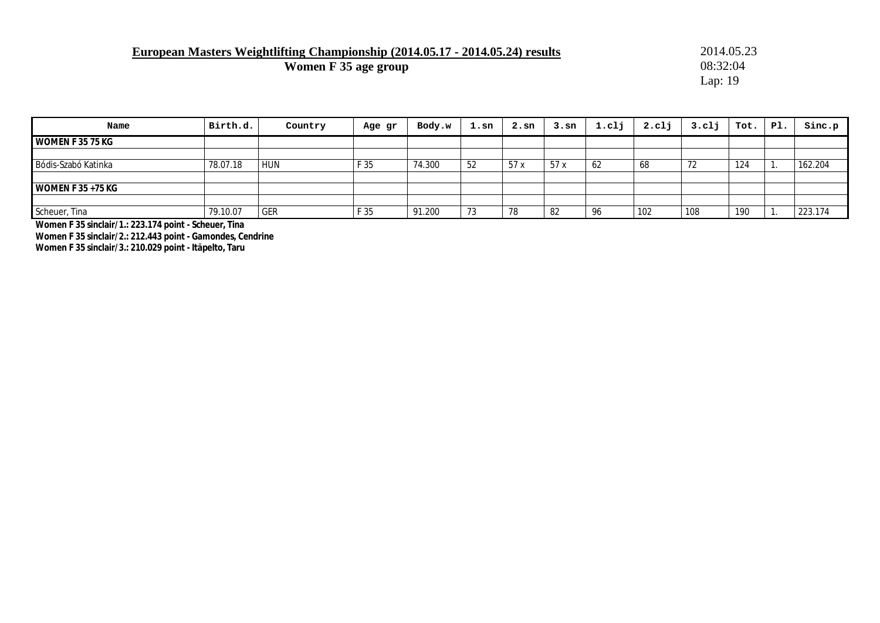### **European Masters Weightlifting Championship (2014.05.17 - 2014.05.24) results** 2014.05.23<br> **Women F 35 age group** 08:32:04

**Women F 35 age group** 

Lap: 19

| Name                 | Birth.d. | Country    | Age gr | Body.w | $1.\,\mathrm{sn}$ | $2.\text{sn}$ | 3.sn | 1.c11 | 2. <sub>cl</sub> | $3.$ clj | Tot. | Pl. | Sinc.p  |
|----------------------|----------|------------|--------|--------|-------------------|---------------|------|-------|------------------|----------|------|-----|---------|
| WOMEN F 35 75 KG     |          |            |        |        |                   |               |      |       |                  |          |      |     |         |
|                      |          |            |        |        |                   |               |      |       |                  |          |      |     |         |
| Bódis-Szabó Katinka  | 78.07.18 | <b>HUN</b> | F 35   | 74.300 | 52                | 57x           | 57x  | -62   | 68               | 72       | 124  |     | 162.204 |
|                      |          |            |        |        |                   |               |      |       |                  |          |      |     |         |
| WOMEN F $35 + 75$ KG |          |            |        |        |                   |               |      |       |                  |          |      |     |         |
|                      |          |            |        |        |                   |               |      |       |                  |          |      |     |         |
| Scheuer, Tina        | 79.10.07 | <b>GER</b> | F 35   | 91.200 | 73                | 78            | 82   | 96    | 102              | 108      | 190  |     | 223.174 |

**Women F 35 sinclair/1.: 223.174 point - Scheuer, Tina Women F 35 sinclair/2.: 212.443 point - Gamondes, Cendrine Women F 35 sinclair/3.: 210.029 point - Itäpelto, Taru**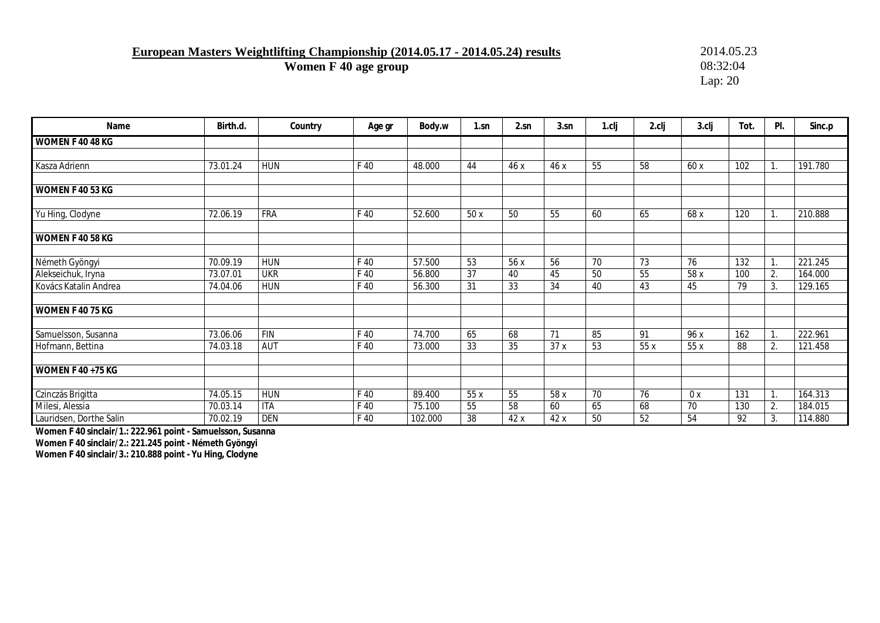**European Masters Weightlifting Championship (2014.05.17 - 2014.05.24) results** 2014.05.23<br> **Women F 40 age group** 08:32:04

**Women F 40 age group** 

Lap: 20

| Name                     | Birth.d. | Country    | Age gr | Body.w  | $1$ .sn         | 2.sn | 3.sn | 1.cli | 2.clj | 3.clj | Tot. | PI.            | Sinc.p  |
|--------------------------|----------|------------|--------|---------|-----------------|------|------|-------|-------|-------|------|----------------|---------|
| WOMEN F 40 48 KG         |          |            |        |         |                 |      |      |       |       |       |      |                |         |
|                          |          |            |        |         |                 |      |      |       |       |       |      |                |         |
| Kasza Adrienn            | 73.01.24 | <b>HUN</b> | F 40   | 48.000  | 44              | 46x  | 46 x | 55    | 58    | 60 x  | 102  |                | 191.780 |
|                          |          |            |        |         |                 |      |      |       |       |       |      |                |         |
| WOMEN F 40 53 KG         |          |            |        |         |                 |      |      |       |       |       |      |                |         |
| Yu Hing, Clodyne         | 72.06.19 | <b>FRA</b> | F 40   | 52.600  | 50 x            | 50   | 55   | 60    | 65    | 68 x  | 120  |                | 210.888 |
| WOMEN F 40 58 KG         |          |            |        |         |                 |      |      |       |       |       |      |                |         |
| Németh Gyöngyi           | 70.09.19 | <b>HUN</b> | F 40   | 57.500  | 53              | 56 x | 56   | 70    | 73    | 76    | 132  | $\mathbf{1}$ . | 221.245 |
| Alekseichuk, Iryna       | 73.07.01 | <b>UKR</b> | F 40   | 56.800  | $\overline{37}$ | 40   | 45   | 50    | 55    | 58 x  | 100  | 2.             | 164.000 |
| Kovács Katalin Andrea    | 74.04.06 | <b>HUN</b> | F 40   | 56.300  | 31              | 33   | 34   | 40    | 43    | 45    | 79   | 3.             | 129.165 |
| WOMEN F 40 75 KG         |          |            |        |         |                 |      |      |       |       |       |      |                |         |
| Samuelsson, Susanna      | 73.06.06 | <b>FIN</b> | F 40   | 74.700  | 65              | 68   | 71   | 85    | 91    | 96 x  | 162  |                | 222.961 |
| Hofmann, Bettina         | 74.03.18 | <b>AUT</b> | F 40   | 73.000  | 33              | 35   | 37 x | 53    | 55x   | 55 x  | 88   | 2.             | 121.458 |
| <b>WOMEN F 40 +75 KG</b> |          |            |        |         |                 |      |      |       |       |       |      |                |         |
| Czinczás Brigitta        | 74.05.15 | <b>HUN</b> | F 40   | 89.400  | 55 x            | 55   | 58 x | 70    | 76    | 0x    | 131  |                | 164.313 |
| Milesi, Alessia          | 70.03.14 | <b>ITA</b> | F 40   | 75.100  | 55              | 58   | 60   | 65    | 68    | 70    | 130  | 2.             | 184.015 |
| Lauridsen, Dorthe Salin  | 70.02.19 | <b>DEN</b> | F 40   | 102.000 | 38              | 42x  | 42 x | 50    | 52    | 54    | 92   | 3.             | 114.880 |

**Women F 40 sinclair/1.: 222.961 point - Samuelsson, Susanna** 

**Women F 40 sinclair/2.: 221.245 point - Németh Gyöngyi** 

**Women F 40 sinclair/3.: 210.888 point - Yu Hing, Clodyne**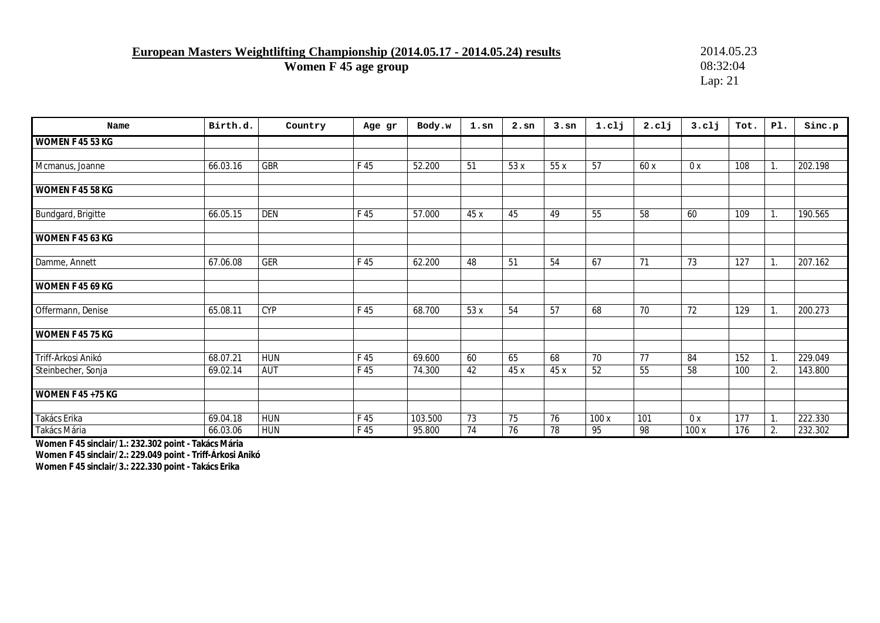**European Masters Weightlifting Championship (2014.05.17 - 2014.05.24) results** 2014.05.23<br>Women F 45 age group 332:04

**Women F 45 age group** 

Lap: 21

| Name                     | Birth.d. | Country    | Age gr | Body.w  | $1.\mathrm{sn}$ | $2.\,\mathrm{sn}$ | 3.5 <sub>n</sub> | 1.c1j           | 2. c11          | 3. c11          | Tot.             | PI.              | Sinc.p  |
|--------------------------|----------|------------|--------|---------|-----------------|-------------------|------------------|-----------------|-----------------|-----------------|------------------|------------------|---------|
| WOMEN F 45 53 KG         |          |            |        |         |                 |                   |                  |                 |                 |                 |                  |                  |         |
|                          |          |            |        |         |                 |                   |                  |                 |                 |                 |                  |                  |         |
| Mcmanus, Joanne          | 66.03.16 | GBR        | F 45   | 52.200  | $\overline{51}$ | 53 x              | 55x              | $\overline{57}$ | 60x             | 0x              | 108              | 1.               | 202.198 |
|                          |          |            |        |         |                 |                   |                  |                 |                 |                 |                  |                  |         |
| WOMEN F 45 58 KG         |          |            |        |         |                 |                   |                  |                 |                 |                 |                  |                  |         |
| Bundgard, Brigitte       | 66.05.15 | <b>DEN</b> | F 45   | 57.000  | 45 x            | 45                | 49               | 55              | 58              | 60              | 109              | $\mathbf{1}$ .   | 190.565 |
|                          |          |            |        |         |                 |                   |                  |                 |                 |                 |                  |                  |         |
| WOMEN F 45 63 KG         |          |            |        |         |                 |                   |                  |                 |                 |                 |                  |                  |         |
|                          |          |            |        |         |                 |                   |                  |                 |                 |                 |                  |                  |         |
| Damme, Annett            | 67.06.08 | <b>GER</b> | F 45   | 62.200  | 48              | 51                | 54               | 67              | 71              | 73              | 127              |                  | 207.162 |
| WOMEN F 45 69 KG         |          |            |        |         |                 |                   |                  |                 |                 |                 |                  |                  |         |
| Offermann, Denise        | 65.08.11 | <b>CYP</b> | F 45   | 68.700  | 53x             | 54                | 57               | 68              | $\overline{70}$ | $\overline{72}$ | 129              | $\overline{1}$ . | 200.273 |
| WOMEN F 45 75 KG         |          |            |        |         |                 |                   |                  |                 |                 |                 |                  |                  |         |
| Triff-Árkosi Anikó       | 68.07.21 | <b>HUN</b> | F 45   | 69.600  | 60              | 65                | 68               | 70              | 77              | 84              | 152              | $\overline{1}$ . | 229.049 |
| Steinbecher, Sonja       | 69.02.14 | <b>AUT</b> | F 45   | 74.300  | 42              | 45 x              | 45 x             | 52              | 55              | 58              | 100              | 2.               | 143.800 |
| <b>WOMEN F 45 +75 KG</b> |          |            |        |         |                 |                   |                  |                 |                 |                 |                  |                  |         |
| Takács Erika             | 69.04.18 | <b>HUN</b> | F 45   | 103.500 | $\overline{73}$ | $\overline{75}$   | 76               | 100x            | 101             | 0x              | $\overline{177}$ | $\mathbf{1}$ .   | 222.330 |
| Takács Mária             | 66.03.06 | <b>HUN</b> | F 45   | 95.800  | 74              | 76                | $\overline{78}$  | 95              | 98              | 100 x           | 176              | 2.               | 232.302 |

**Women F 45 sinclair/1.: 232.302 point - Takács Mária Women F 45 sinclair/2.: 229.049 point - Triff-Árkosi Anikó Women F 45 sinclair/3.: 222.330 point - Takács Erika**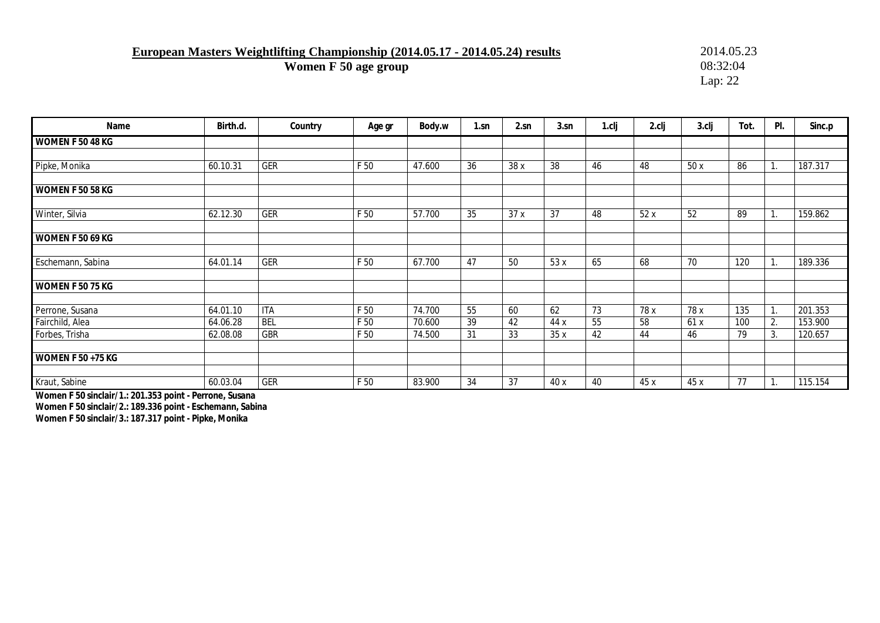**European Masters Weightlifting Championship (2014.05.17 - 2014.05.24) results** 2014.05.23<br>Women F 50 age group 332:04

**Women F 50 age group** 

Lap: 22

| Name                     | Birth.d. | Country    | Age gr | Body.w | 1.sn            | 2.sn | 3.sn | 1.cli           | 2.clj | $3$ .clj | Tot. | PI.            | Sinc.p  |
|--------------------------|----------|------------|--------|--------|-----------------|------|------|-----------------|-------|----------|------|----------------|---------|
| WOMEN F 50 48 KG         |          |            |        |        |                 |      |      |                 |       |          |      |                |         |
|                          |          |            |        |        |                 |      |      |                 |       |          |      |                |         |
| Pipke, Monika            | 60.10.31 | <b>GER</b> | F 50   | 47.600 | $\overline{36}$ | 38 x | 38   | 46              | 48    | 50x      | 86   |                | 187.317 |
| <b>WOMEN F 50 58 KG</b>  |          |            |        |        |                 |      |      |                 |       |          |      |                |         |
| Winter, Silvia           | 62.12.30 | GER        | F 50   | 57.700 | 35              | 37x  | 37   | 48              | 52x   | 52       | 89   |                | 159.862 |
| <b>WOMEN F 50 69 KG</b>  |          |            |        |        |                 |      |      |                 |       |          |      |                |         |
| Eschemann, Sabina        | 64.01.14 | GER        | F 50   | 67.700 | 47              | 50   | 53 x | 65              | 68    | 70       | 120  | $\mathbf{1}$ . | 189.336 |
| <b>WOMEN F 50 75 KG</b>  |          |            |        |        |                 |      |      |                 |       |          |      |                |         |
| Perrone, Susana          | 64.01.10 | <b>ITA</b> | F 50   | 74.700 | 55              | 60   | 62   | $\overline{73}$ | 78 x  | 78 x     | 135  |                | 201.353 |
| Fairchild, Alea          | 64.06.28 | <b>BEL</b> | F 50   | 70.600 | $\overline{39}$ | 42   | 44 x | 55              | 58    | 61x      | 100  | 2.             | 153.900 |
| Forbes, Trisha           | 62.08.08 | <b>GBR</b> | F 50   | 74.500 | 31              | 33   | 35x  | 42              | 44    | 46       | 79   | 3.             | 120.657 |
| <b>WOMEN F 50 +75 KG</b> |          |            |        |        |                 |      |      |                 |       |          |      |                |         |
| Kraut, Sabine            | 60.03.04 | GER        | F 50   | 83.900 | 34              | 37   | 40 x | 40              | 45 x  | 45 x     | 77   |                | 115.154 |

**Women F 50 sinclair/1.: 201.353 point - Perrone, Susana** 

**Women F 50 sinclair/2.: 189.336 point - Eschemann, Sabina** 

**Women F 50 sinclair/3.: 187.317 point - Pipke, Monika**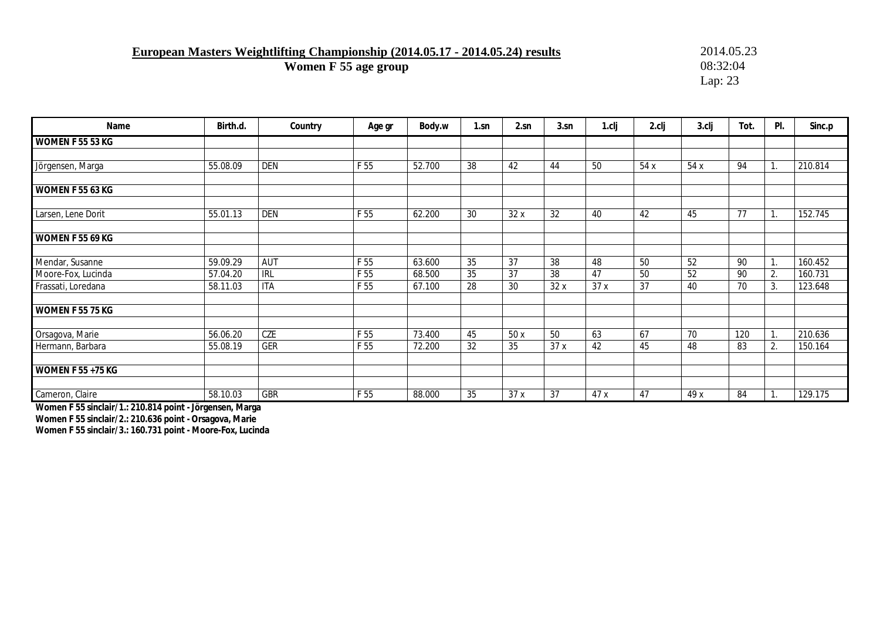**European Masters Weightlifting Championship (2014.05.17 - 2014.05.24) results** 2014.05.23<br> **Women F 55 age group** 08:32:04

**Women F 55 age group** 

Lap: 23

| Name                                     | Birth.d.             | Country                  | Age gr       | Body.w           | 1.sn     | 2.sn     | 3.sn      | 1.cli     | 2.clj    | 3.clj           | Tot.     | PI.                        | Sinc.p             |
|------------------------------------------|----------------------|--------------------------|--------------|------------------|----------|----------|-----------|-----------|----------|-----------------|----------|----------------------------|--------------------|
| WOMEN F 55 53 KG                         |                      |                          |              |                  |          |          |           |           |          |                 |          |                            |                    |
| Jörgensen, Marga                         | 55.08.09             | <b>DEN</b>               | F 55         | 52.700           | 38       | 42       | 44        | 50        | 54x      | 54 x            | 94       | 1.                         | 210.814            |
| <b>WOMEN F 55 63 KG</b>                  |                      |                          |              |                  |          |          |           |           |          |                 |          |                            |                    |
| Larsen, Lene Dorit                       | 55.01.13             | <b>DEN</b>               | F 55         | 62.200           | 30       | 32 x     | 32        | 40        | 42       | 45              | 77       | Ι.                         | 152.745            |
| WOMEN F 55 69 KG                         |                      |                          |              |                  |          |          |           |           |          |                 |          |                            |                    |
| Mendar, Susanne                          | 59.09.29             | AUT                      | F 55         | 63.600           | 35       | 37       | 38        | 48        | 50       | $\overline{52}$ | 90       | Ι.                         | 160.452            |
| Moore-Fox, Lucinda<br>Frassati, Loredana | 57.04.20<br>58.11.03 | <b>IRL</b><br><b>ITA</b> | F 55<br>F 55 | 68.500<br>67.100 | 35<br>28 | 37<br>30 | 38<br>32x | 47<br>37x | 50<br>37 | 52<br>40        | 90<br>70 | 2.<br>3.                   | 160.731<br>123.648 |
| WOMEN F 55 75 KG                         |                      |                          |              |                  |          |          |           |           |          |                 |          |                            |                    |
| Orsagova, Marie                          | 56.06.20             | CZE                      | F 55         | 73.400           | 45       | 50 x     | 50        | 63        | 67       | 70              | 120      | $\blacktriangleleft$<br>Ι. | 210.636            |
| Hermann, Barbara                         | 55.08.19             | GER                      | F 55         | 72.200           | 32       | 35       | 37 x      | 42        | 45       | 48              | 83       | 2.                         | 150.164            |
| <b>WOMEN F 55 +75 KG</b>                 |                      |                          |              |                  |          |          |           |           |          |                 |          |                            |                    |
| Cameron, Claire                          | 58.10.03             | GBR                      | F 55         | 88.000           | 35       | 37x      | 37        | 47 x      | 47       | 49x             | 84       |                            | 129.175            |

**Women F 55 sinclair/1.: 210.814 point - Jörgensen, Marga** 

**Women F 55 sinclair/2.: 210.636 point - Orsagova, Marie** 

**Women F 55 sinclair/3.: 160.731 point - Moore-Fox, Lucinda**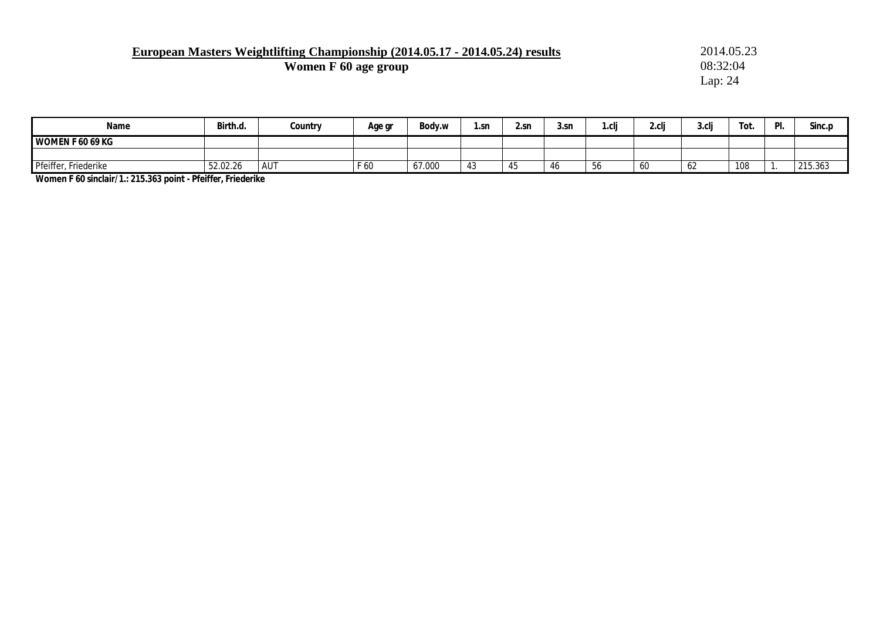# **European Masters Weightlifting Championship (2014.05.17 - 2014.05.24) results** 2014.05.23<br> **Women F 60 age group** 08:32:04

**Women F 60 age group** 

Lap: 24

| Name                    | Birth.d. | Country    | Age gr | Body.w | .sn              | 2.sn    | 3.sr | نام<br>i .ui | $\overline{\phantom{0}}$<br>$\sim$<br>Z.U | 3.cli                          | $\overline{\phantom{0}}$<br>Tot. | PI. | Sinc.p  |
|-------------------------|----------|------------|--------|--------|------------------|---------|------|--------------|-------------------------------------------|--------------------------------|----------------------------------|-----|---------|
| <b>WOMEN F 60 69 KG</b> |          |            |        |        |                  |         |      |              |                                           |                                |                                  |     |         |
|                         |          |            |        |        |                  |         |      |              |                                           |                                |                                  |     |         |
| Pfeiffer, Friederike    | 52.02.26 | <b>AUT</b> | F 60   | 67.000 | $\sqrt{2}$<br>4ა | .<br>40 | 40   | .56          | υu                                        | $\overline{\phantom{a}}$<br>62 | 108                              |     | 215.363 |

**Women F 60 sinclair/1.: 215.363 point - Pfeiffer, Friederike**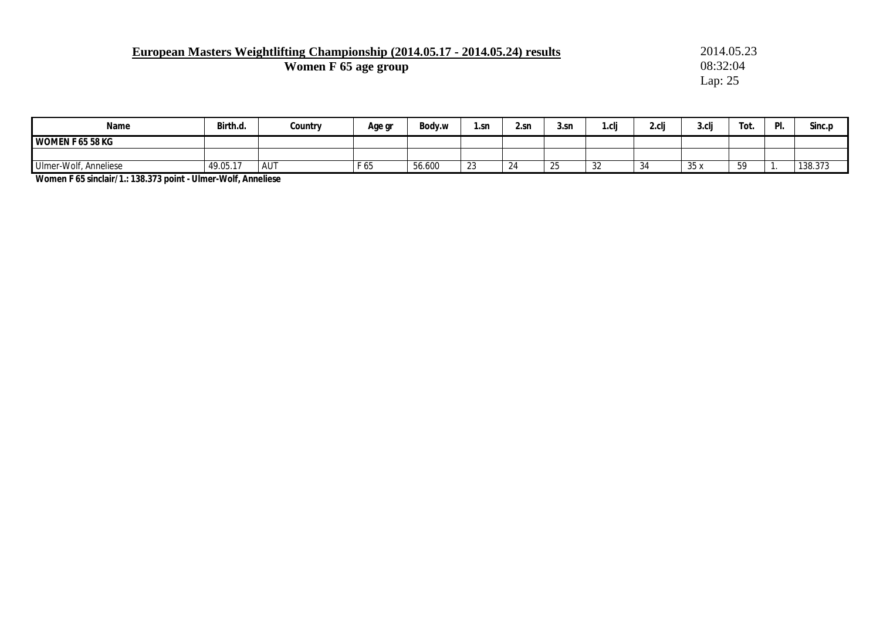# **European Masters Weightlifting Championship (2014.05.17 - 2014.05.24) results** 2014.05.23<br> **Women F 65 age group** 08:32:04

**Women F 65 age group** 

Lap: 25

| Name                  | Birth.d.  | Country    | Age gr                      | Body.w | 1.5 <sub>P</sub> | 2.sn | 3.sr     | r.clj | 2.cli | 3.cli | Tot.    | D | Sinc.p  |
|-----------------------|-----------|------------|-----------------------------|--------|------------------|------|----------|-------|-------|-------|---------|---|---------|
| WOMEN F 65 58 KG      |           |            |                             |        |                  |      |          |       |       |       |         |   |         |
|                       |           |            |                             |        |                  |      |          |       |       |       |         |   |         |
| Ulmer-Wolf, Anneliese | 149.05.17 | <b>AUT</b> | <b>F</b> $\prime$ F<br>65 T | 56.600 | ົດຕ<br>ں ے       | 24   | ,,<br>ںے | ےں    | -34   | 35x   | гΟ<br>ັ |   | 138.373 |

**Women F 65 sinclair/1.: 138.373 point - Ulmer-Wolf, Anneliese**